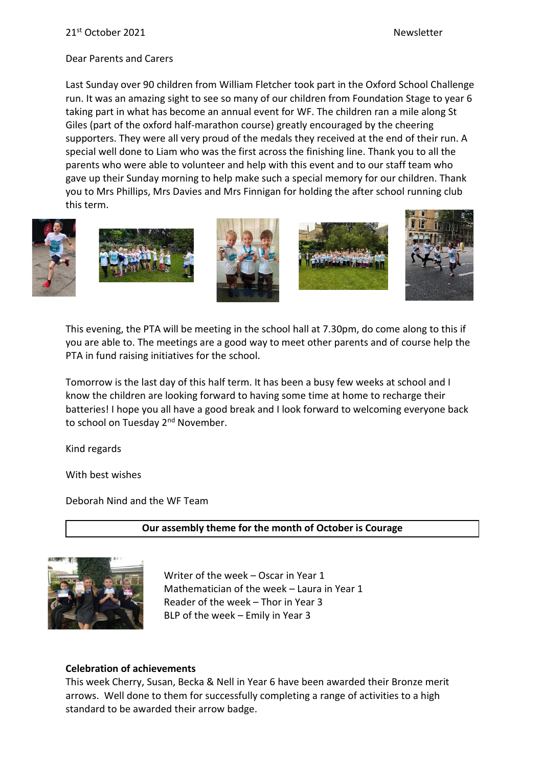Dear Parents and Carers

Last Sunday over 90 children from William Fletcher took part in the Oxford School Challenge run. It was an amazing sight to see so many of our children from Foundation Stage to year 6 taking part in what has become an annual event for WF. The children ran a mile along St Giles (part of the oxford half-marathon course) greatly encouraged by the cheering supporters. They were all very proud of the medals they received at the end of their run. A special well done to Liam who was the first across the finishing line. Thank you to all the parents who were able to volunteer and help with this event and to our staff team who gave up their Sunday morning to help make such a special memory for our children. Thank you to Mrs Phillips, Mrs Davies and Mrs Finnigan for holding the after school running club this term.











This evening, the PTA will be meeting in the school hall at 7.30pm, do come along to this if you are able to. The meetings are a good way to meet other parents and of course help the PTA in fund raising initiatives for the school.

Tomorrow is the last day of this half term. It has been a busy few weeks at school and I know the children are looking forward to having some time at home to recharge their batteries! I hope you all have a good break and I look forward to welcoming everyone back to school on Tuesday 2<sup>nd</sup> November.

Kind regards

With best wishes

Deborah Nind and the WF Team

## **Our assembly theme for the month of October is Courage**



Writer of the week – Oscar in Year 1 Mathematician of the week – Laura in Year 1 Reader of the week – Thor in Year 3 BLP of the week – Emily in Year 3

## **Celebration of achievements**

This week Cherry, Susan, Becka & Nell in Year 6 have been awarded their Bronze merit arrows. Well done to them for successfully completing a range of activities to a high standard to be awarded their arrow badge.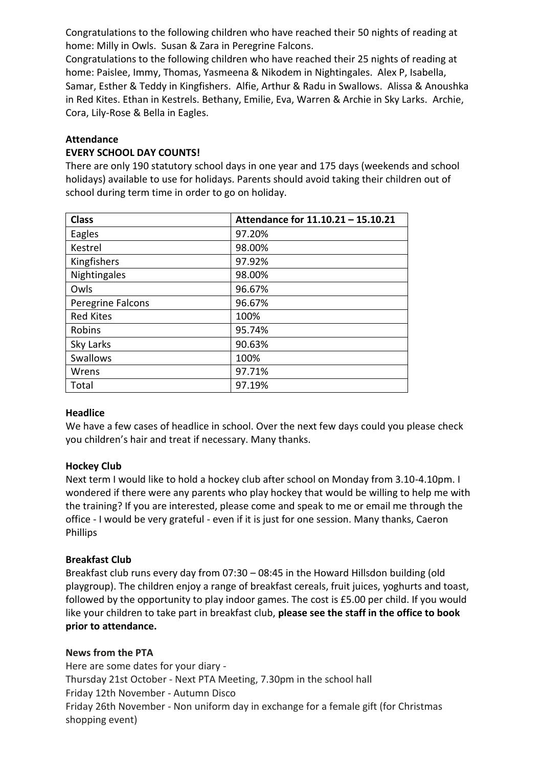Congratulations to the following children who have reached their 50 nights of reading at home: Milly in Owls. Susan & Zara in Peregrine Falcons.

Congratulations to the following children who have reached their 25 nights of reading at home: Paislee, Immy, Thomas, Yasmeena & Nikodem in Nightingales. Alex P, Isabella, Samar, Esther & Teddy in Kingfishers. Alfie, Arthur & Radu in Swallows. Alissa & Anoushka in Red Kites. Ethan in Kestrels. Bethany, Emilie, Eva, Warren & Archie in Sky Larks. Archie, Cora, Lily-Rose & Bella in Eagles.

#### **Attendance**

#### **EVERY SCHOOL DAY COUNTS!**

There are only 190 statutory school days in one year and 175 days (weekends and school holidays) available to use for holidays. Parents should avoid taking their children out of school during term time in order to go on holiday.

| <b>Class</b>      | Attendance for 11.10.21 - 15.10.21 |
|-------------------|------------------------------------|
| Eagles            | 97.20%                             |
| Kestrel           | 98.00%                             |
| Kingfishers       | 97.92%                             |
| Nightingales      | 98.00%                             |
| Owls              | 96.67%                             |
| Peregrine Falcons | 96.67%                             |
| <b>Red Kites</b>  | 100%                               |
| Robins            | 95.74%                             |
| Sky Larks         | 90.63%                             |
| Swallows          | 100%                               |
| Wrens             | 97.71%                             |
| Total             | 97.19%                             |

#### **Headlice**

We have a few cases of headlice in school. Over the next few days could you please check you children's hair and treat if necessary. Many thanks.

#### **Hockey Club**

Next term I would like to hold a hockey club after school on Monday from 3.10-4.10pm. I wondered if there were any parents who play hockey that would be willing to help me with the training? If you are interested, please come and speak to me or email me through the office - I would be very grateful - even if it is just for one session. Many thanks, Caeron Phillips

## **Breakfast Club**

Breakfast club runs every day from 07:30 – 08:45 in the Howard Hillsdon building (old playgroup). The children enjoy a range of breakfast cereals, fruit juices, yoghurts and toast, followed by the opportunity to play indoor games. The cost is £5.00 per child. If you would like your children to take part in breakfast club, **please see the staff in the office to book prior to attendance.**

#### **News from the PTA**

Here are some dates for your diary - Thursday 21st October - Next PTA Meeting, 7.30pm in the school hall Friday 12th November - Autumn Disco Friday 26th November - Non uniform day in exchange for a female gift (for Christmas shopping event)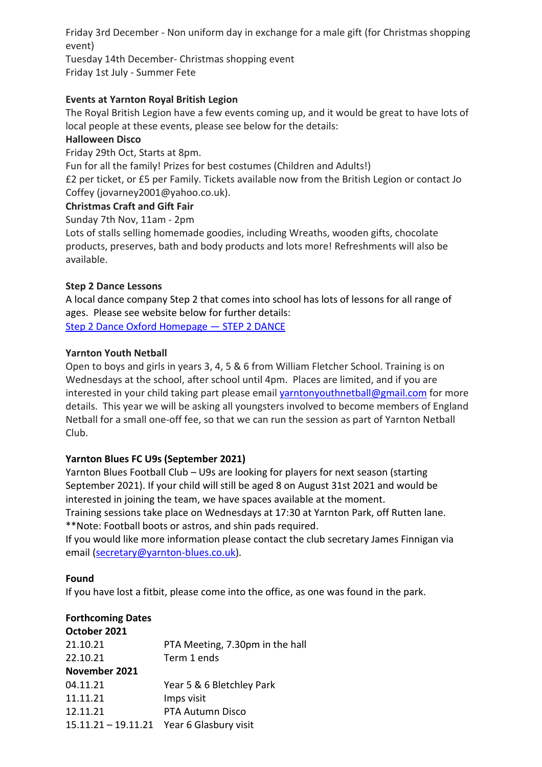Friday 3rd December - Non uniform day in exchange for a male gift (for Christmas shopping event) Tuesday 14th December- Christmas shopping event

Friday 1st July - Summer Fete

# **Events at Yarnton Royal British Legion**

The Royal British Legion have a few events coming up, and it would be great to have lots of local people at these events, please see below for the details:

# **Halloween Disco**

Friday 29th Oct, Starts at 8pm.

Fun for all the family! Prizes for best costumes (Children and Adults!)

£2 per ticket, or £5 per Family. Tickets available now from the British Legion or contact Jo Coffey (jovarney2001@yahoo.co.uk).

## **Christmas Craft and Gift Fair**

Sunday 7th Nov, 11am - 2pm

Lots of stalls selling homemade goodies, including Wreaths, wooden gifts, chocolate products, preserves, bath and body products and lots more! Refreshments will also be available.

## **Step 2 Dance Lessons**

A local dance company Step 2 that comes into school has lots of lessons for all range of ages. Please see website below for further details:

[Step 2 Dance Oxford Homepage](https://www.step2dance.co.uk/home) — STEP 2 DANCE

## **Yarnton Youth Netball**

Open to boys and girls in years 3, 4, 5 & 6 from William Fletcher School. Training is on Wednesdays at the school, after school until 4pm. Places are limited, and if you are interested in your child taking part please email [yarntonyouthnetball@gmail.com](mailto:yarntonyouthnetball@gmail.com) for more details. This year we will be asking all youngsters involved to become members of England Netball for a small one-off fee, so that we can run the session as part of Yarnton Netball Club.

## **Yarnton Blues FC U9s (September 2021)**

Yarnton Blues Football Club – U9s are looking for players for next season (starting September 2021). If your child will still be aged 8 on August 31st 2021 and would be interested in joining the team, we have spaces available at the moment.

Training sessions take place on Wednesdays at 17:30 at Yarnton Park, off Rutten lane. \*\*Note: Football boots or astros, and shin pads required.

If you would like more information please contact the club secretary James Finnigan via email [\(secretary@yarnton-blues.co.uk\)](mailto:secretary@yarnton-blues.co.uk).

## **Found**

If you have lost a fitbit, please come into the office, as one was found in the park.

# **Forthcoming Dates October 2021** 21.10.21 PTA Meeting, 7.30pm in the hall 22.10.21 Term 1 ends **November 2021** 04.11.21 Year 5 & 6 Bletchley Park 11.11.21 Imps visit 12.11.21 PTA Autumn Disco 15.11.21 – 19.11.21 Year 6 Glasbury visit